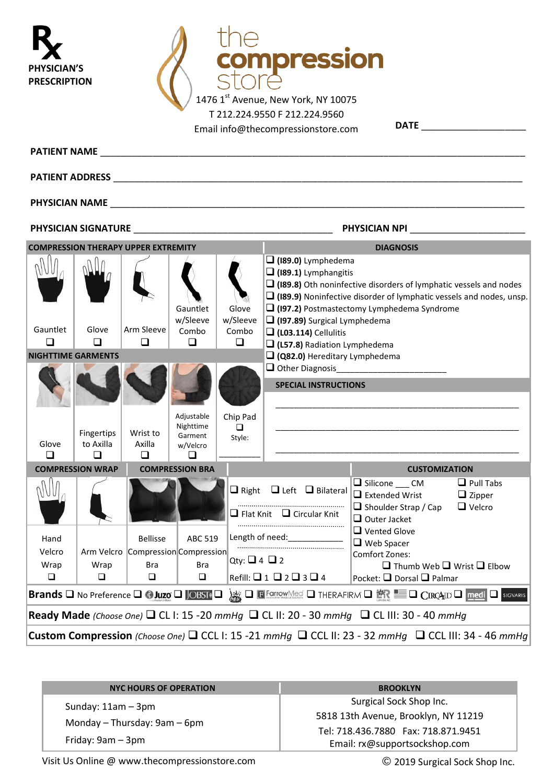| 'SICIAN'S<br>PRESCRIPTION                                                                                                                                                                                                            |                         |                                                                               |                                 |                        | mpression<br>1476 1st Avenue, New York, NY 10075<br>T 212.224.9550 F 212.224.9560<br>Email info@thecompressionstore.com |                                                                                                                                                                                                             |                                                    |  |  |
|--------------------------------------------------------------------------------------------------------------------------------------------------------------------------------------------------------------------------------------|-------------------------|-------------------------------------------------------------------------------|---------------------------------|------------------------|-------------------------------------------------------------------------------------------------------------------------|-------------------------------------------------------------------------------------------------------------------------------------------------------------------------------------------------------------|----------------------------------------------------|--|--|
|                                                                                                                                                                                                                                      |                         |                                                                               |                                 |                        |                                                                                                                         |                                                                                                                                                                                                             |                                                    |  |  |
| <b>PATIENT ADDRESS EXECUTIVE SERVICE SERVICE SERVICE SERVICE SERVICE SERVICE SERVICE SERVICE SERVICE SERVICE SERVICE SERVICE SERVICE SERVICE SERVICE SERVICE SERVICE SERVICE SERVICE SERVICE SERVICE SERVICE SERVICE SERVICE SER</b> |                         |                                                                               |                                 |                        |                                                                                                                         |                                                                                                                                                                                                             |                                                    |  |  |
|                                                                                                                                                                                                                                      |                         |                                                                               |                                 |                        |                                                                                                                         |                                                                                                                                                                                                             |                                                    |  |  |
| PHYSICIAN SIGNATURE<br>PHYSICIAN NPI                                                                                                                                                                                                 |                         |                                                                               |                                 |                        |                                                                                                                         |                                                                                                                                                                                                             |                                                    |  |  |
|                                                                                                                                                                                                                                      |                         | <b>COMPRESSION THERAPY UPPER EXTREMITY</b>                                    |                                 |                        | <b>DIAGNOSIS</b>                                                                                                        |                                                                                                                                                                                                             |                                                    |  |  |
|                                                                                                                                                                                                                                      |                         |                                                                               | Gauntlet<br>w/Sleeve            | Glove<br>w/Sleeve      | $\Box$ (189.0) Lymphedema<br>$\Box$ (189.1) Lymphangitis                                                                | $\Box$ (189.8) Oth noninfective disorders of lymphatic vessels and nodes<br>$\Box$ (189.9) Noninfective disorder of lymphatic vessels and nodes, unsp.<br>$\Box$ (197.2) Postmastectomy Lymphedema Syndrome |                                                    |  |  |
| Gauntlet                                                                                                                                                                                                                             | Glove                   | Arm Sleeve                                                                    | Combo                           | Combo                  | (197.89) Surgical Lymphedema<br>$\Box$ (L03.114) Cellulitis                                                             |                                                                                                                                                                                                             |                                                    |  |  |
| $\Box$<br><b>NIGHTTIME GARMENTS</b>                                                                                                                                                                                                  | $\Box$                  | ◻                                                                             | ◻                               | ◻                      | Q (L57.8) Radiation Lymphedema<br>Q82.0) Hereditary Lymphedema                                                          |                                                                                                                                                                                                             |                                                    |  |  |
|                                                                                                                                                                                                                                      |                         |                                                                               | Adjustable<br>Nighttime         | Chip Pad               | $\square$ Other Diagnosis<br><b>SPECIAL INSTRUCTIONS</b>                                                                |                                                                                                                                                                                                             |                                                    |  |  |
| Glove                                                                                                                                                                                                                                | Fingertips<br>to Axilla | Wrist to<br>Axilla                                                            | Garment<br>w/Velcro             | □<br>Style:            |                                                                                                                         |                                                                                                                                                                                                             |                                                    |  |  |
| ◻                                                                                                                                                                                                                                    | ◻                       | ◻                                                                             | ◻                               |                        |                                                                                                                         |                                                                                                                                                                                                             |                                                    |  |  |
|                                                                                                                                                                                                                                      | <b>COMPRESSION WRAP</b> |                                                                               | <b>COMPRESSION BRA</b>          |                        |                                                                                                                         | <b>CUSTOMIZATION</b>                                                                                                                                                                                        |                                                    |  |  |
|                                                                                                                                                                                                                                      |                         |                                                                               |                                 |                        | $\Box$ Right $\Box$ Left $\Box$ Bilateral<br>$\Box$ Flat Knit $\Box$ Circular Knit                                      | Silicone CM<br>$\Box$ Extended Wrist<br>$\Box$ Shoulder Strap / Cap<br>$\Box$ Outer Jacket                                                                                                                  | $\Box$ Pull Tabs<br>$\Box$ Zipper<br>$\Box$ Velcro |  |  |
| Hand<br>Velcro<br>Wrap<br>$\Box$                                                                                                                                                                                                     | Wrap<br>$\Box$          | <b>Bellisse</b><br>Arm Velcro Compression Compression<br><b>Bra</b><br>$\Box$ | ABC 519<br><b>Bra</b><br>$\Box$ | Qty: $\Box$ 4 $\Box$ 2 | Length of need:<br>Refill: $\Box$ 1 $\Box$ 2 $\Box$ 3 $\Box$ 4                                                          | $\Box$ Vented Glove<br>$\Box$ Web Spacer<br>Comfort Zones:<br>$\Box$ Thumb Web $\Box$ Wrist $\Box$ Elbow<br>Pocket: □ Dorsal □ Palmar                                                                       |                                                    |  |  |
| Brands Q No Preference Q G Juzo Q JOBST Q & Q E FORCOWNES Q THERAFIRM Q E Q CIRCAID Q medi Q SIGWARIS                                                                                                                                |                         |                                                                               |                                 |                        |                                                                                                                         |                                                                                                                                                                                                             |                                                    |  |  |
| Ready Made (Choose One) $\Box$ CL I: 15 -20 mmHg $\Box$ CL II: 20 - 30 mmHg $\Box$ CL III: 30 - 40 mmHg                                                                                                                              |                         |                                                                               |                                 |                        |                                                                                                                         |                                                                                                                                                                                                             |                                                    |  |  |
| <b>Custom Compression</b> (Choose One) $\Box$ CCL 1: 15 -21 mmHg $\Box$ CCL 11: 23 - 32 mmHg $\Box$ CCL 111: 34 - 46 mmHg                                                                                                            |                         |                                                                               |                                 |                        |                                                                                                                         |                                                                                                                                                                                                             |                                                    |  |  |

| <b>NYC HOURS OF OPERATION</b> | <b>BROOKLYN</b>                      |
|-------------------------------|--------------------------------------|
| Sunday: $11am - 3pm$          | Surgical Sock Shop Inc.              |
| Monday - Thursday: 9am - 6pm  | 5818 13th Avenue, Brooklyn, NY 11219 |
|                               | Tel: 718.436.7880 Fax: 718.871.9451  |
| Friday: 9am – 3pm             | Email: rx@supportsockshop.com        |

Visit Us Online [@ www.thec](http://www.the/)ompressionstore.com © 2019 Surgical Sock Shop Inc.